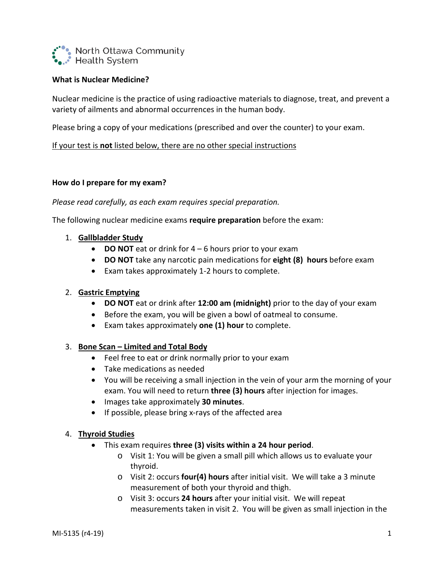

# **What is Nuclear Medicine?**

Nuclear medicine is the practice of using radioactive materials to diagnose, treat, and prevent a variety of ailments and abnormal occurrences in the human body.

Please bring a copy of your medications (prescribed and over the counter) to your exam.

## If your test is **not** listed below, there are no other special instructions

## **How do I prepare for my exam?**

## *Please read carefully, as each exam requires special preparation.*

The following nuclear medicine exams **require preparation** before the exam:

## 1. **Gallbladder Study**

- **DO NOT** eat or drink for 4 6 hours prior to your exam
- **DO NOT** take any narcotic pain medications for **eight (8) hours** before exam
- Exam takes approximately 1-2 hours to complete.

## 2. **Gastric Emptying**

- **DO NOT** eat or drink after **12:00 am (midnight)** prior to the day of your exam
- Before the exam, you will be given a bowl of oatmeal to consume.
- Exam takes approximately **one (1) hour** to complete.

## 3. **Bone Scan – Limited and Total Body**

- Feel free to eat or drink normally prior to your exam
- Take medications as needed
- You will be receiving a small injection in the vein of your arm the morning of your exam. You will need to return **three (3) hours** after injection for images.
- Images take approximately **30 minutes**.
- If possible, please bring x-rays of the affected area

## 4. **Thyroid Studies**

- This exam requires **three (3) visits within a 24 hour period**.
	- o Visit 1: You will be given a small pill which allows us to evaluate your thyroid.
	- o Visit 2: occurs **four(4) hours** after initial visit. We will take a 3 minute measurement of both your thyroid and thigh.
	- o Visit 3: occurs **24 hours** after your initial visit. We will repeat measurements taken in visit 2. You will be given as small injection in the